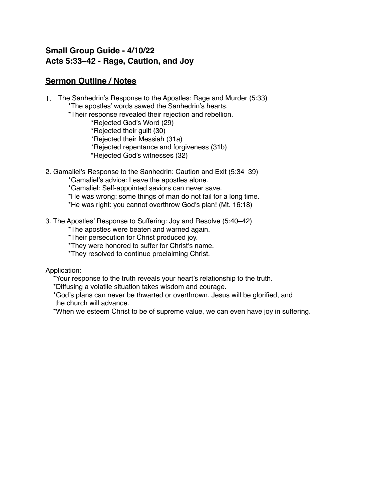## **Small Group Guide - 4/10/22 Acts 5:33–42 - Rage, Caution, and Joy**

## **Sermon Outline / Notes**

- 1. The Sanhedrin's Response to the Apostles: Rage and Murder (5:33) \*The apostles' words sawed the Sanhedrin's hearts.
	- \*Their response revealed their rejection and rebellion.
		- \*Rejected God's Word (29)
		- \*Rejected their guilt (30)
		- \*Rejected their Messiah (31a)
		- \*Rejected repentance and forgiveness (31b)
		- \*Rejected God's witnesses (32)
- 2. Gamaliel's Response to the Sanhedrin: Caution and Exit (5:34–39)
	- \*Gamaliel's advice: Leave the apostles alone.
	- \*Gamaliel: Self-appointed saviors can never save.
	- \*He was wrong: some things of man do not fail for a long time.
	- \*He was right: you cannot overthrow God's plan! (Mt. 16:18)
- 3. The Apostles' Response to Suffering: Joy and Resolve (5:40–42)
	- \*The apostles were beaten and warned again.
	- \*Their persecution for Christ produced joy.
	- \*They were honored to suffer for Christ's name.
	- \*They resolved to continue proclaiming Christ.
- Application:
	- \*Your response to the truth reveals your heart's relationship to the truth.
	- \*Diffusing a volatile situation takes wisdom and courage.
	- \*God's plans can never be thwarted or overthrown. Jesus will be glorified, and the church will advance.
	- \*When we esteem Christ to be of supreme value, we can even have joy in suffering.